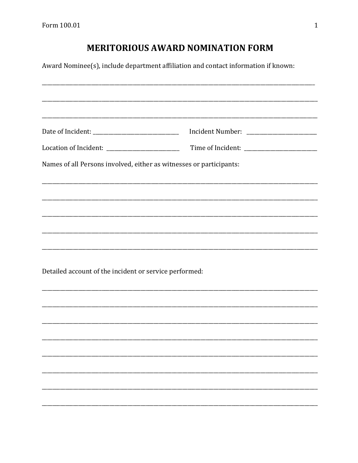## MERITORIOUS AWARD NOMINATION FORM

| Award Nominee(s), include department affiliation and contact information if known: |  |  |  |  |  |  |  |  |
|------------------------------------------------------------------------------------|--|--|--|--|--|--|--|--|
|                                                                                    |  |  |  |  |  |  |  |  |
|                                                                                    |  |  |  |  |  |  |  |  |
|                                                                                    |  |  |  |  |  |  |  |  |
| Names of all Persons involved, either as witnesses or participants:                |  |  |  |  |  |  |  |  |
|                                                                                    |  |  |  |  |  |  |  |  |
|                                                                                    |  |  |  |  |  |  |  |  |
|                                                                                    |  |  |  |  |  |  |  |  |
|                                                                                    |  |  |  |  |  |  |  |  |
|                                                                                    |  |  |  |  |  |  |  |  |
|                                                                                    |  |  |  |  |  |  |  |  |
|                                                                                    |  |  |  |  |  |  |  |  |
|                                                                                    |  |  |  |  |  |  |  |  |
|                                                                                    |  |  |  |  |  |  |  |  |
|                                                                                    |  |  |  |  |  |  |  |  |
|                                                                                    |  |  |  |  |  |  |  |  |
|                                                                                    |  |  |  |  |  |  |  |  |
|                                                                                    |  |  |  |  |  |  |  |  |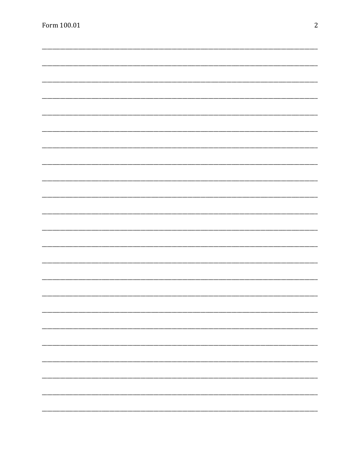|  |  |  | $\overline{\phantom{a}}$ |
|--|--|--|--------------------------|
|  |  |  |                          |
|  |  |  |                          |
|  |  |  |                          |
|  |  |  |                          |
|  |  |  |                          |
|  |  |  |                          |
|  |  |  |                          |
|  |  |  |                          |
|  |  |  |                          |
|  |  |  |                          |
|  |  |  |                          |
|  |  |  |                          |
|  |  |  |                          |
|  |  |  |                          |
|  |  |  |                          |
|  |  |  | Ξ.                       |
|  |  |  |                          |
|  |  |  |                          |
|  |  |  |                          |
|  |  |  |                          |
|  |  |  |                          |
|  |  |  |                          |
|  |  |  |                          |
|  |  |  |                          |
|  |  |  |                          |
|  |  |  |                          |
|  |  |  |                          |

 $\overline{2}$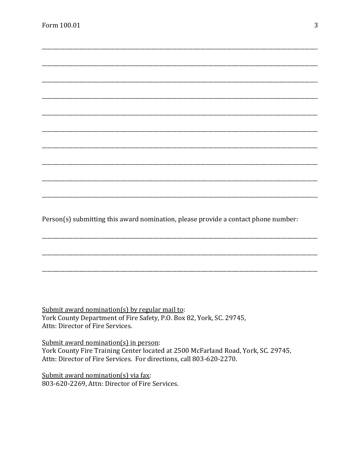Person(s) submitting this award nomination, please provide a contact phone number:

Submit award nomination(s) by regular mail to: York County Department of Fire Safety, P.O. Box 82, York, SC. 29745, Attn: Director of Fire Services.

Submit award nomination(s) in person: York County Fire Training Center located at 2500 McFarland Road, York, SC. 29745, Attn: Director of Fire Services. For directions, call 803-620-2270.

Submit award nomination(s) via fax: 803-620-2269, Attn: Director of Fire Services.